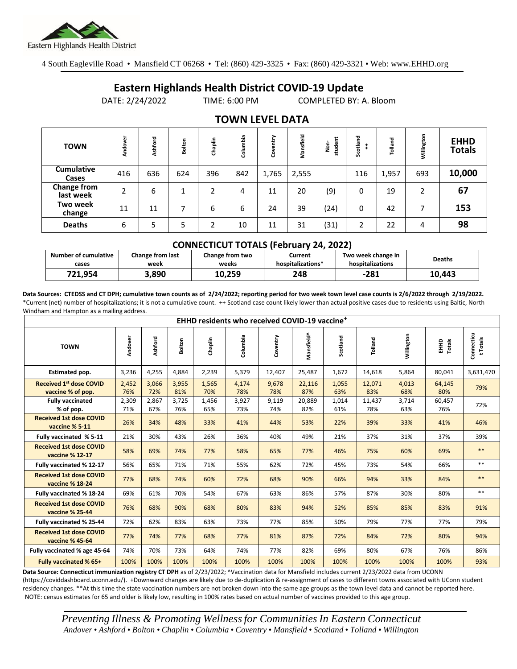

4 South Eagleville Road • Mansfield CT 06268 • Tel: (860) 429-3325 • Fax: (860) 429-3321 • Web: www.EHHD.org

## **Eastern Highlands Health District COVID-19 Update**

DATE: 2/24/2022 TIME: 6:00 PM COMPLETED BY: A. Bloom

| <b>TOWN</b>                     | Andove | Ashford | Bolton               | Chaplin | Columbia | entry<br>Š | Mansfield | student<br>e<br>S | otland<br>ပ္တ | Tolland | Willington | <b>EHHD</b><br><b>Totals</b> |
|---------------------------------|--------|---------|----------------------|---------|----------|------------|-----------|-------------------|---------------|---------|------------|------------------------------|
| <b>Cumulative</b><br>Cases      | 416    | 636     | 624                  | 396     | 842      | 1,765      | 2,555     |                   | 116           | 1,957   | 693        | 10,000                       |
| <b>Change from</b><br>last week | 2      | 6       | $\blacktriangleleft$ | 2       | 4        | 11         | 20        | (9)               | 0             | 19      | 2          | 67                           |
| Two week<br>change              | 11     | 11      | ⇁                    | 6       | 6        | 24         | 39        | (24)              | 0             | 42      | 7          | 153                          |
| <b>Deaths</b>                   | 6      | 5       | 5                    |         | 10       | 11         | 31        | (31)              | 2             | 22      | 4          | 98                           |

## **TOWN LEVEL DATA**

| <b>CONNECTICUT TOTALS (February 24, 2022)</b> |                                 |                          |                              |                                        |               |  |  |  |  |  |
|-----------------------------------------------|---------------------------------|--------------------------|------------------------------|----------------------------------------|---------------|--|--|--|--|--|
| <b>Number of cumulative</b><br>cases          | <b>Change from last</b><br>week | Change from two<br>weeks | Current<br>hospitalizations* | Two week change in<br>hospitalizations | <b>Deaths</b> |  |  |  |  |  |
| 721.954                                       | 3.890                           | 10.259                   | 248                          | $-281$                                 | 10.443        |  |  |  |  |  |

**Data Sources: CTEDSS and CT DPH; cumulative town counts as of 2/24/2022; reporting period for two week town level case counts is 2/6/2022 through 2/19/2022.** \*Current (net) number of hospitalizations; it is not a cumulative count. ++ Scotland case count likely lower than actual positive cases due to residents using Baltic, North Windham and Hampton as a mailing address.

| <b>EHHD residents who received COVID-19 vaccine<sup>+</sup></b> |              |              |              |              |              |              |               |              |               |              |                  |                        |
|-----------------------------------------------------------------|--------------|--------------|--------------|--------------|--------------|--------------|---------------|--------------|---------------|--------------|------------------|------------------------|
| <b>TOWN</b>                                                     | Andover      | Ashford      | Bolton       | Chaplin      | Columbia     | Coventry     | Mansfield^    | Scotland     | Tolland       | Willington   | Totals<br>읖<br>표 | Connecticu<br>t Totals |
| Estimated pop.                                                  | 3,236        | 4,255        | 4,884        | 2,239        | 5,379        | 12,407       | 25,487        | 1,672        | 14,618        | 5,864        | 80,041           | 3,631,470              |
| <b>Received 1st dose COVID</b><br>vaccine % of pop.             | 2,452<br>76% | 3,066<br>72% | 3,955<br>81% | 1,565<br>70% | 4,174<br>78% | 9,678<br>78% | 22,116<br>87% | 1,055<br>63% | 12,071<br>83% | 4,013<br>68% | 64,145<br>80%    | 79%                    |
| <b>Fully vaccinated</b><br>% of pop.                            | 2,309<br>71% | 2,867<br>67% | 3,725<br>76% | 1,456<br>65% | 3,927<br>73% | 9,119<br>74% | 20,889<br>82% | 1,014<br>61% | 11,437<br>78% | 3,714<br>63% | 60,457<br>76%    | 72%                    |
| <b>Received 1st dose COVID</b><br>vaccine % 5-11                | 26%          | 34%          | 48%          | 33%          | 41%          | 44%          | 53%           | 22%          | 39%           | 33%          | 41%              | 46%                    |
| Fully vaccinated % 5-11                                         | 21%          | 30%          | 43%          | 26%          | 36%          | 40%          | 49%           | 21%          | 37%           | 31%          | 37%              | 39%                    |
| <b>Received 1st dose COVID</b><br>vaccine % 12-17               | 58%          | 69%          | 74%          | 77%          | 58%          | 65%          | 77%           | 46%          | 75%           | 60%          | 69%              | $**$                   |
| Fully vaccinated % 12-17                                        | 56%          | 65%          | 71%          | 71%          | 55%          | 62%          | 72%           | 45%          | 73%           | 54%          | 66%              | $***$                  |
| <b>Received 1st dose COVID</b><br>vaccine % 18-24               | 77%          | 68%          | 74%          | 60%          | 72%          | 68%          | 90%           | 66%          | 94%           | 33%          | 84%              | $**$                   |
| Fully vaccinated % 18-24                                        | 69%          | 61%          | 70%          | 54%          | 67%          | 63%          | 86%           | 57%          | 87%           | 30%          | 80%              | $***$                  |
| <b>Received 1st dose COVID</b><br>vaccine % 25-44               | 76%          | 68%          | 90%          | 68%          | 80%          | 83%          | 94%           | 52%          | 85%           | 85%          | 83%              | 91%                    |
| Fully vaccinated % 25-44                                        | 72%          | 62%          | 83%          | 63%          | 73%          | 77%          | 85%           | 50%          | 79%           | 77%          | 77%              | 79%                    |
| <b>Received 1st dose COVID</b><br>vaccine % 45-64               | 77%          | 74%          | 77%          | 68%          | 77%          | 81%          | 87%           | 72%          | 84%           | 72%          | 80%              | 94%                    |
| Fully vaccinated % age 45-64                                    | 74%          | 70%          | 73%          | 64%          | 74%          | 77%          | 82%           | 69%          | 80%           | 67%          | 76%              | 86%                    |
| Fully vaccinated % 65+                                          | 100%         | 100%         | 100%         | 100%         | 100%         | 100%         | 100%          | 100%         | 100%          | 100%         | 100%             | 93%                    |

Data Source: Connecticut immunization registry CT DPH as of 2/23/2022; ^Vaccination data for Mansfield includes current 2/23/2022 data from UCONN (https://coviddashboard.uconn.edu/). +Downward changes are likely due to de-duplication & re-assignment of cases to different towns associated with UConn student residency changes. \*\*At this time the state vaccination numbers are not broken down into the same age groups as the town level data and cannot be reported here. NOTE: census estimates for 65 and older is likely low, resulting in 100% rates based on actual number of vaccines provided to this age group.

*Preventing Illness & Promoting Wellnessfor Communities In Eastern Connecticut* Andover • Ashford • Bolton • Chaplin • Columbia • Coventry • Mansfield • Scotland • Tolland • Willington